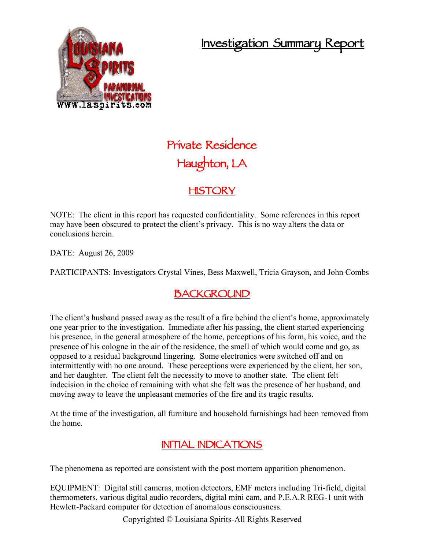## **Investigation Summary Report**



# **Private Residence Haughton, LA**

#### **HISTORY**

NOTE: The client in this report has requested confidentiality. Some references in this report may have been obscured to protect the client's privacy. This is no way alters the data or conclusions herein.

DATE: August 26, 2009

PARTICIPANTS: Investigators Crystal Vines, Bess Maxwell, Tricia Grayson, and John Combs

### **BACKGROUND**

The client's husband passed away as the result of a fire behind the client's home, approximately one year prior to the investigation. Immediate after his passing, the client started experiencing his presence, in the general atmosphere of the home, perceptions of his form, his voice, and the presence of his cologne in the air of the residence, the smell of which would come and go, as opposed to a residual background lingering. Some electronics were switched off and on intermittently with no one around. These perceptions were experienced by the client, her son, and her daughter. The client felt the necessity to move to another state. The client felt indecision in the choice of remaining with what she felt was the presence of her husband, and moving away to leave the unpleasant memories of the fire and its tragic results.

At the time of the investigation, all furniture and household furnishings had been removed from the home.

#### **INITIAL INDICATIONS**

The phenomena as reported are consistent with the post mortem apparition phenomenon.

EQUIPMENT: Digital still cameras, motion detectors, EMF meters including Tri-field, digital thermometers, various digital audio recorders, digital mini cam, and P.E.A.R REG-1 unit with Hewlett-Packard computer for detection of anomalous consciousness.

Copyrighted © Louisiana Spirits-All Rights Reserved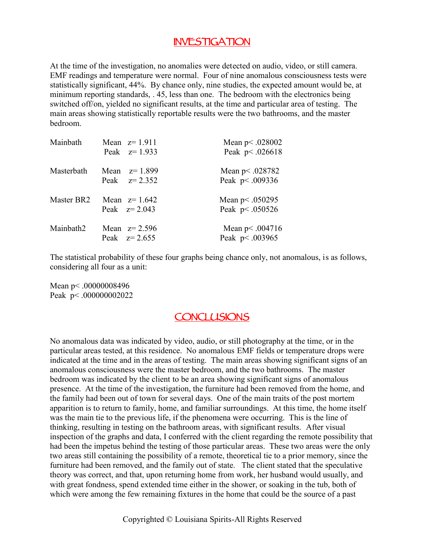#### **INVESTIGATION**

At the time of the investigation, no anomalies were detected on audio, video, or still camera. EMF readings and temperature were normal. Four of nine anomalous consciousness tests were statistically significant, 44%. By chance only, nine studies, the expected amount would be, at minimum reporting standards, . 45, less than one. The bedroom with the electronics being switched off/on, yielded no significant results, at the time and particular area of testing. The main areas showing statistically reportable results were the two bathrooms, and the master bedroom.

| Mainbath   | Mean $z=1.911$<br>Peak $z=1.933$ | Mean $p$ < .028002<br>Peak p < .026618 |
|------------|----------------------------------|----------------------------------------|
| Masterbath | Mean $z=1.899$<br>Peak $z=2.352$ | Mean $p$ < .028782<br>Peak p < .009336 |
| Master BR2 | Mean $z=1.642$<br>Peak $z=2.043$ | Mean $p$ < .050295<br>Peak p < .050526 |
| Mainbath2  | Mean $z=2.596$<br>Peak $z=2.655$ | Mean $p$ < .004716<br>Peak p < .003965 |

The statistical probability of these four graphs being chance only, not anomalous, is as follows, considering all four as a unit:

Mean p < .00000008496 Peak p < .000000002022

#### **CONCLUSIONS**

No anomalous data was indicated by video, audio, or still photography at the time, or in the particular areas tested, at this residence. No anomalous EMF fields or temperature drops were indicated at the time and in the areas of testing. The main areas showing significant signs of an anomalous consciousness were the master bedroom, and the two bathrooms. The master bedroom was indicated by the client to be an area showing significant signs of anomalous presence. At the time of the investigation, the furniture had been removed from the home, and the family had been out of town for several days. One of the main traits of the post mortem apparition is to return to family, home, and familiar surroundings. At this time, the home itself was the main tie to the previous life, if the phenomena were occurring. This is the line of thinking, resulting in testing on the bathroom areas, with significant results. After visual inspection of the graphs and data, I conferred with the client regarding the remote possibility that had been the impetus behind the testing of those particular areas. These two areas were the only two areas still containing the possibility of a remote, theoretical tie to a prior memory, since the furniture had been removed, and the family out of state. The client stated that the speculative theory was correct, and that, upon returning home from work, her husband would usually, and with great fondness, spend extended time either in the shower, or soaking in the tub, both of which were among the few remaining fixtures in the home that could be the source of a past